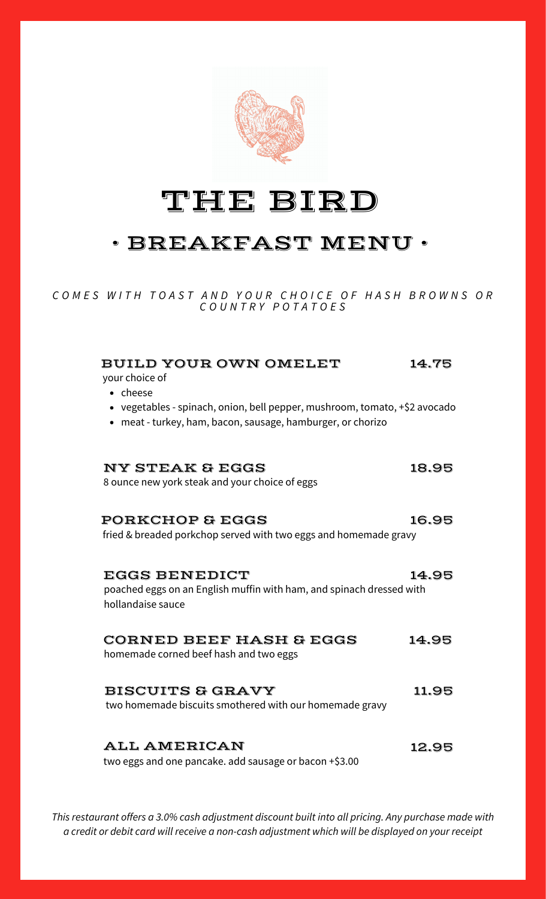

# THE BIRD

## • BREAKFAST MENU •

COMES WITH TOAST AND YOUR CHOICE OF HASH BROWNS OR *C O U N T R Y P O T A T O E S*

| <b>BUILD YOUR OWN OMELET</b><br>your choice of<br>• cheese<br>• vegetables - spinach, onion, bell pepper, mushroom, tomato, +\$2 avocado<br>• meat - turkey, ham, bacon, sausage, hamburger, or chorizo | 14.75 |
|---------------------------------------------------------------------------------------------------------------------------------------------------------------------------------------------------------|-------|
| <b>NY STEAK &amp; EGGS</b><br>8 ounce new york steak and your choice of eggs                                                                                                                            | 18.95 |
| <b>PORKCHOP &amp; EGGS</b><br>fried & breaded porkchop served with two eggs and homemade gravy                                                                                                          | 16.95 |
| <b>EGGS BENEDICT</b><br>poached eggs on an English muffin with ham, and spinach dressed with<br>hollandaise sauce                                                                                       | 14.95 |
| <b>CORNED BEEF HASH &amp; EGGS</b><br>homemade corned beef hash and two eggs                                                                                                                            | 14.95 |
| <b>BISCUITS &amp; GRAVY</b><br>two homemade biscuits smothered with our homemade gravy                                                                                                                  | 11.95 |
| <b>ALL AMERICAN</b><br>two eggs and one pancake. add sausage or bacon +\$3.00                                                                                                                           | 12.95 |

*This restaurant offers a 3.0% cash adjustment discount built into all pricing. Any purchase made with a credit or debit card will receive a non-cash adjustment which will be displayed on your receipt*